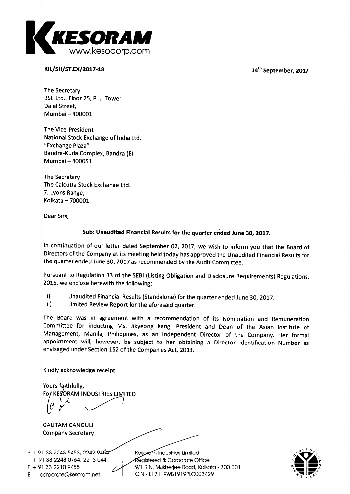

**KIL/SH/ST.EX/2017-18 14th September, 2017** 

**The Secretary BSE Ltd., Floor 25, P. J. Tower Dalai Street, Mumbai — 400001** 

**The Vice-President National Stock Exchange of India Ltd. "Exchange Plaza" Bandra-Kurla Complex, Bandra (E) Mumbai — 400051** 

**The Secretary The Calcutta Stock Exchange Ltd. 7, Lyons Range, Kolkata — 700001** 

**Dear Sirs,** 

# **Sub: Unaudited Financial Results for the quarter ended June 30, 2017.**

**In continuation of our letter dated September 02, 2017, we wish to inform you that the Board of Directors of the Company at its meeting held today has approved the Unaudited Financial Results for the quarter ended June 30, 2017 as recommended by the Audit Committee.** 

**Pursuant to Regulation 33 of the SEBI (Listing Obligation and Disclosure Requirements) Regulations, 2015, we enclose herewith the following:** 

- **i) Unaudited Financial Results (Standalone) for the quarter ended June 30, 2017.**
- **ii) Limited Review Report for the aforesaid quarter.**

**The Board was in agreement with a recommendation of its Nomination and Remuneration Committee for inducting Ms. Jikyeong Kang, President and Dean of the Asian Institute of Management, Manila, Philippines, as an Independent Director of the Company. Her formal appointment will, however, be subject to her obtaining a Director Identification Number as envisaged under Section 152 of the Companies Act, 2013.** 

**Kindly acknowledge receipt.** 

**Yours faithfully, For KESORAM INDUSTRIES LIMITED** 

**GAUTAM GANGULI Company Secretary** 

**945 P + 91 33 2243 5453, 2242 0441 + 91 33 2248 0764, 2213 E corporate@kesoram.net F + 91 33 2210 9455** 

**Industries Limited egistered & Corporate Office 9/1 R.N. Mukherjee Road, Kolkata - 700 001 CIN - L17119WB1919PLC003429** 

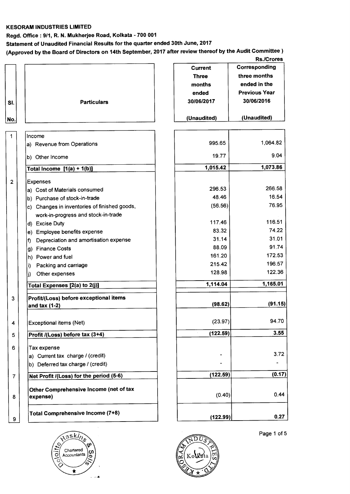#### **KESORAM INDUSTRIES LIMITED**

**Regd. Office : 9/1, R. N. Mukherjee Road, Kolkata - 700 001** 

**Statement of Unaudited Financial Results for the quarter ended 30th June, 2017** 

**(Approved by the Board of Directors on 14th September, 2017 after review thereof by the Audit Committee )** 

### **Rs./Crores**

| SI.<br>No.     | <b>Particulars</b>                                                                  | Current<br><b>Three</b><br>months<br>ended<br>30/06/2017<br>(Unaudited) | Corresponding<br>three months<br>ended in the<br><b>Previous Year</b><br>30/06/2016<br>(Unaudited) |
|----------------|-------------------------------------------------------------------------------------|-------------------------------------------------------------------------|----------------------------------------------------------------------------------------------------|
| $\mathbf{1}$   | Income                                                                              |                                                                         |                                                                                                    |
|                | a) Revenue from Operations                                                          | 995.65                                                                  | 1,064.82                                                                                           |
|                | b) Other Income                                                                     | 19.77                                                                   | 9.04                                                                                               |
|                | Total Income $[1(a) + 1(b)]$                                                        | 1,015.42                                                                | 1,073.86                                                                                           |
| $\overline{2}$ | <b>Expenses</b>                                                                     |                                                                         |                                                                                                    |
|                | a) Cost of Materials consumed                                                       | 296.53                                                                  | 266.58                                                                                             |
|                | b) Purchase of stock-in-trade                                                       | 48.46                                                                   | 16.54                                                                                              |
|                | c) Changes in inventories of finished goods,<br>work-in-progress and stock-in-trade | (56.56)                                                                 | 76.95                                                                                              |
|                | d) Excise Duty                                                                      | 117.46                                                                  | 116.51                                                                                             |
|                | Employee benefits expense<br>e)                                                     | 83.32                                                                   | 74.22                                                                                              |
|                | Depreciation and amortisation expense<br>h)                                         | 31.14                                                                   | 31.01                                                                                              |
|                | <b>Finance Costs</b><br>g)                                                          | 88.09                                                                   | 91.74                                                                                              |
|                | Power and fuel<br>$ h\rangle$                                                       | 161.20                                                                  | 172.53                                                                                             |
|                | Packing and carriage<br>li)                                                         | 215.42                                                                  | 196.57                                                                                             |
|                | Other expenses<br>j)                                                                | 128.98                                                                  | 122.36                                                                                             |
|                | Total Expenses [2(a) to 2(j)]                                                       | 1,114.04                                                                | 1,165.01                                                                                           |
| 3              | Profit/(Loss) before exceptional items                                              |                                                                         |                                                                                                    |
|                | and tax $(1-2)$                                                                     | (98.62)                                                                 | (91.15)                                                                                            |
| 4              | <b>Exceptional items (Net)</b>                                                      | (23.97)                                                                 | 94.70                                                                                              |
| 5              | Profit /(Loss) before tax (3+4)                                                     | (122.59)                                                                | 3.55                                                                                               |
| 6              | Tax expense                                                                         |                                                                         |                                                                                                    |
|                | a) Current tax charge / (credit)                                                    |                                                                         | 3.72                                                                                               |
|                | b) Deferred tax charge / (credit)                                                   |                                                                         |                                                                                                    |
| $\overline{7}$ | Net Profit /(Loss) for the period (5-6)                                             | (122.59)                                                                | (0.17)                                                                                             |
| 8              | Other Comprehensive Income (net of tax<br>expense)                                  | (0.40)                                                                  | 0.44                                                                                               |
| 9              | <b>Total Comprehensive Income (7+8)</b>                                             | (122.99)                                                                | 0.27                                                                                               |





Page 1 of 5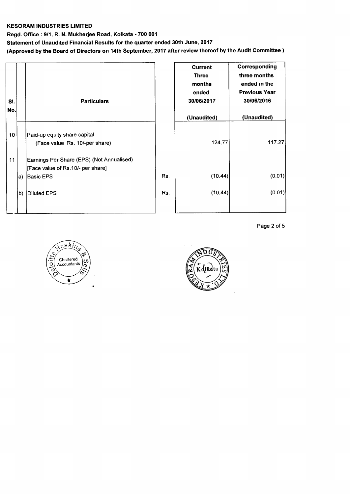#### **KESORAM INDUSTRIES LIMITED**

**Regd. Office : 9/1, R. N. Mukherjee Road, Kolkata - 700 001** 

**Statement of Unaudited Financial Results for the quarter ended 30th June, 2017** 

**(Approved by the Board of Directors on 14th September, 2017 after review thereof by the Audit Committee )** 

| SI.<br>No. |     | <b>Particulars</b>                                                             |     | <b>Current</b><br><b>Three</b><br>months<br>ended<br>30/06/2017<br>(Unaudited) | Corresponding<br>three months<br>ended in the<br><b>Previous Year</b><br>30/06/2016<br>(Unaudited) |
|------------|-----|--------------------------------------------------------------------------------|-----|--------------------------------------------------------------------------------|----------------------------------------------------------------------------------------------------|
| 10         |     | Paid-up equity share capital<br>(Face value Rs. 10/-per share)                 |     | 124.77                                                                         | 117.27                                                                                             |
| 11         |     | Earnings Per Share (EPS) (Not Annualised)<br>[Face value of Rs.10/- per share] |     |                                                                                |                                                                                                    |
|            | la) | Basic EPS                                                                      | Rs. | (10.44)                                                                        | (0.01)                                                                                             |
|            | b)  | Diluted EPS                                                                    | Rs. | (10.44)                                                                        | (0.01)                                                                                             |

Page 2 of 5



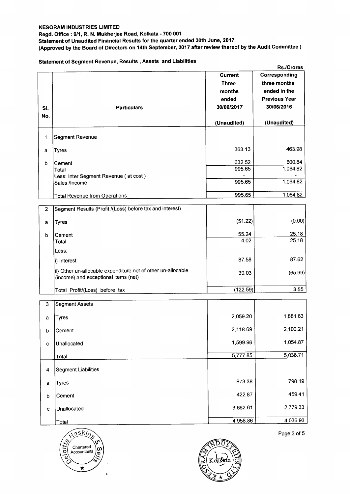#### **Regd. Office : 9/1, R. N. Mukherjee Road, Kolkata - 700 001**

**Statement of Unaudited Financial Results for the quarter ended 30th June, 2017** 

**(Approved by the Board of Directors on 14th September, 2017 after review thereof by the Audit Committee )** 

# **Statement of Segment Revenue, Results , Assets and Liabilities**

| Corresponding<br><b>Current</b><br>three months<br><b>Three</b><br>ended in the<br>months<br><b>Previous Year</b><br>ended<br>30/06/2016<br>30/06/2017<br><b>Particulars</b><br>SI.<br>No.<br>(Unaudited)<br>(Unaudited)<br>Segment Revenue<br>1<br>463.98<br>363.13<br><b>Tyres</b><br>а<br>600.84<br>632.52<br>Cement<br>b<br>1,064.82<br>995.65<br>Total<br>Less: Inter Segment Revenue (at cost)<br>1,064.82<br>995.65<br>Sales /Income<br>995.65<br>1,064.82<br><b>Total Revenue from Operations</b><br>Segment Results (Profit /(Loss) before tax and interest)<br>$\mathbf{2}$<br>(0.00)<br>(51.22)<br><b>Tyres</b><br>a<br>25.18<br>55.24<br>Cement<br>b<br>25.18<br>4.02<br>Total<br>Less:<br>87.62<br>87.58<br>i) Interest<br>ii) Other un-allocable expenditure net of other un-allocable<br>39.03<br>(income) and exceptional items (net)<br>3.55<br>(122.59)<br>Total Profit/(Loss) before tax<br><b>Segment Assets</b><br>3<br>2,059.20<br>1,881.63<br><b>Tyres</b><br>a<br>2,118.69<br>2,100.21<br>Cement<br>þ<br>1,054.87<br>1,599.96<br>Unallocated<br>$\mathbf c$<br>5,036.71<br>5,777.85<br>Total<br><b>Segment Liabilities</b><br>4<br>798.19<br>873.38<br><b>Tyres</b><br>a<br>459.41<br>422.87<br>Cement<br>b<br>2,779.33<br>3,662.61<br>Unallocated<br>$\mathbf c$<br>4,958.86<br>Total |  | <b>Rs./Crores</b> |
|----------------------------------------------------------------------------------------------------------------------------------------------------------------------------------------------------------------------------------------------------------------------------------------------------------------------------------------------------------------------------------------------------------------------------------------------------------------------------------------------------------------------------------------------------------------------------------------------------------------------------------------------------------------------------------------------------------------------------------------------------------------------------------------------------------------------------------------------------------------------------------------------------------------------------------------------------------------------------------------------------------------------------------------------------------------------------------------------------------------------------------------------------------------------------------------------------------------------------------------------------------------------------------------------------------------|--|-------------------|
|                                                                                                                                                                                                                                                                                                                                                                                                                                                                                                                                                                                                                                                                                                                                                                                                                                                                                                                                                                                                                                                                                                                                                                                                                                                                                                                |  |                   |
|                                                                                                                                                                                                                                                                                                                                                                                                                                                                                                                                                                                                                                                                                                                                                                                                                                                                                                                                                                                                                                                                                                                                                                                                                                                                                                                |  |                   |
| (65.99)<br>4,036.93                                                                                                                                                                                                                                                                                                                                                                                                                                                                                                                                                                                                                                                                                                                                                                                                                                                                                                                                                                                                                                                                                                                                                                                                                                                                                            |  |                   |
|                                                                                                                                                                                                                                                                                                                                                                                                                                                                                                                                                                                                                                                                                                                                                                                                                                                                                                                                                                                                                                                                                                                                                                                                                                                                                                                |  |                   |
|                                                                                                                                                                                                                                                                                                                                                                                                                                                                                                                                                                                                                                                                                                                                                                                                                                                                                                                                                                                                                                                                                                                                                                                                                                                                                                                |  |                   |
|                                                                                                                                                                                                                                                                                                                                                                                                                                                                                                                                                                                                                                                                                                                                                                                                                                                                                                                                                                                                                                                                                                                                                                                                                                                                                                                |  |                   |
|                                                                                                                                                                                                                                                                                                                                                                                                                                                                                                                                                                                                                                                                                                                                                                                                                                                                                                                                                                                                                                                                                                                                                                                                                                                                                                                |  |                   |
|                                                                                                                                                                                                                                                                                                                                                                                                                                                                                                                                                                                                                                                                                                                                                                                                                                                                                                                                                                                                                                                                                                                                                                                                                                                                                                                |  |                   |
|                                                                                                                                                                                                                                                                                                                                                                                                                                                                                                                                                                                                                                                                                                                                                                                                                                                                                                                                                                                                                                                                                                                                                                                                                                                                                                                |  |                   |
|                                                                                                                                                                                                                                                                                                                                                                                                                                                                                                                                                                                                                                                                                                                                                                                                                                                                                                                                                                                                                                                                                                                                                                                                                                                                                                                |  |                   |
|                                                                                                                                                                                                                                                                                                                                                                                                                                                                                                                                                                                                                                                                                                                                                                                                                                                                                                                                                                                                                                                                                                                                                                                                                                                                                                                |  |                   |
|                                                                                                                                                                                                                                                                                                                                                                                                                                                                                                                                                                                                                                                                                                                                                                                                                                                                                                                                                                                                                                                                                                                                                                                                                                                                                                                |  |                   |
|                                                                                                                                                                                                                                                                                                                                                                                                                                                                                                                                                                                                                                                                                                                                                                                                                                                                                                                                                                                                                                                                                                                                                                                                                                                                                                                |  |                   |
|                                                                                                                                                                                                                                                                                                                                                                                                                                                                                                                                                                                                                                                                                                                                                                                                                                                                                                                                                                                                                                                                                                                                                                                                                                                                                                                |  |                   |
|                                                                                                                                                                                                                                                                                                                                                                                                                                                                                                                                                                                                                                                                                                                                                                                                                                                                                                                                                                                                                                                                                                                                                                                                                                                                                                                |  |                   |
|                                                                                                                                                                                                                                                                                                                                                                                                                                                                                                                                                                                                                                                                                                                                                                                                                                                                                                                                                                                                                                                                                                                                                                                                                                                                                                                |  |                   |
|                                                                                                                                                                                                                                                                                                                                                                                                                                                                                                                                                                                                                                                                                                                                                                                                                                                                                                                                                                                                                                                                                                                                                                                                                                                                                                                |  |                   |
|                                                                                                                                                                                                                                                                                                                                                                                                                                                                                                                                                                                                                                                                                                                                                                                                                                                                                                                                                                                                                                                                                                                                                                                                                                                                                                                |  |                   |
|                                                                                                                                                                                                                                                                                                                                                                                                                                                                                                                                                                                                                                                                                                                                                                                                                                                                                                                                                                                                                                                                                                                                                                                                                                                                                                                |  |                   |
|                                                                                                                                                                                                                                                                                                                                                                                                                                                                                                                                                                                                                                                                                                                                                                                                                                                                                                                                                                                                                                                                                                                                                                                                                                                                                                                |  |                   |
|                                                                                                                                                                                                                                                                                                                                                                                                                                                                                                                                                                                                                                                                                                                                                                                                                                                                                                                                                                                                                                                                                                                                                                                                                                                                                                                |  |                   |
|                                                                                                                                                                                                                                                                                                                                                                                                                                                                                                                                                                                                                                                                                                                                                                                                                                                                                                                                                                                                                                                                                                                                                                                                                                                                                                                |  |                   |
|                                                                                                                                                                                                                                                                                                                                                                                                                                                                                                                                                                                                                                                                                                                                                                                                                                                                                                                                                                                                                                                                                                                                                                                                                                                                                                                |  |                   |
|                                                                                                                                                                                                                                                                                                                                                                                                                                                                                                                                                                                                                                                                                                                                                                                                                                                                                                                                                                                                                                                                                                                                                                                                                                                                                                                |  |                   |
|                                                                                                                                                                                                                                                                                                                                                                                                                                                                                                                                                                                                                                                                                                                                                                                                                                                                                                                                                                                                                                                                                                                                                                                                                                                                                                                |  |                   |
|                                                                                                                                                                                                                                                                                                                                                                                                                                                                                                                                                                                                                                                                                                                                                                                                                                                                                                                                                                                                                                                                                                                                                                                                                                                                                                                |  |                   |
|                                                                                                                                                                                                                                                                                                                                                                                                                                                                                                                                                                                                                                                                                                                                                                                                                                                                                                                                                                                                                                                                                                                                                                                                                                                                                                                |  |                   |
|                                                                                                                                                                                                                                                                                                                                                                                                                                                                                                                                                                                                                                                                                                                                                                                                                                                                                                                                                                                                                                                                                                                                                                                                                                                                                                                |  |                   |
|                                                                                                                                                                                                                                                                                                                                                                                                                                                                                                                                                                                                                                                                                                                                                                                                                                                                                                                                                                                                                                                                                                                                                                                                                                                                                                                |  |                   |
|                                                                                                                                                                                                                                                                                                                                                                                                                                                                                                                                                                                                                                                                                                                                                                                                                                                                                                                                                                                                                                                                                                                                                                                                                                                                                                                |  |                   |
|                                                                                                                                                                                                                                                                                                                                                                                                                                                                                                                                                                                                                                                                                                                                                                                                                                                                                                                                                                                                                                                                                                                                                                                                                                                                                                                |  |                   |
|                                                                                                                                                                                                                                                                                                                                                                                                                                                                                                                                                                                                                                                                                                                                                                                                                                                                                                                                                                                                                                                                                                                                                                                                                                                                                                                |  |                   |
|                                                                                                                                                                                                                                                                                                                                                                                                                                                                                                                                                                                                                                                                                                                                                                                                                                                                                                                                                                                                                                                                                                                                                                                                                                                                                                                |  |                   |
|                                                                                                                                                                                                                                                                                                                                                                                                                                                                                                                                                                                                                                                                                                                                                                                                                                                                                                                                                                                                                                                                                                                                                                                                                                                                                                                |  |                   |





Page 3 of 5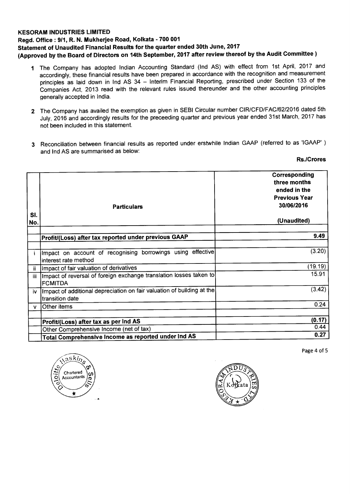#### **KESORAM INDUSTRIES LIMITED**

# **Regd. Office : 9/1, R. N. Mukherjee Road, Kolkata - 700 001 Statement of Unaudited Financial Results for the quarter ended 30th June, 2017 (Approved by the Board of Directors on 14th September, 2017 after review thereof by the Audit Committee )**

- **<sup>1</sup>**The Company has adopted Indian Accounting Standard (Ind AS) with effect from 1st April, 2017 and accordingly, these financial results have been prepared in accordance with the recognition and measurement principles as laid down in Ind AS 34 — Interim Financial Reporting, prescribed under Section 133 of the Companies Act, 2013 read with the relevant rules issued thereunder and the other accounting principles generally accepted in India.
- **2** The Company has availed the exemption as given in SEBI Circular number CIR/CFD/FAC/62/2016 dated 5th July, 2016 and accordingly results for the preceeding quarter and previous year ended 31st March, 2017 has not been included in this statement.
- **3** Reconciliation between financial results as reported under erstwhile Indian GAAP (referred to as 'IGAAP' ) and Ind AS are summarised as below:

### **Rs./Crores**

| SI. | <b>Particulars</b>                                                                        | Corresponding<br>three months<br>ended in the<br><b>Previous Year</b><br>30/06/2016<br>(Unaudited) |
|-----|-------------------------------------------------------------------------------------------|----------------------------------------------------------------------------------------------------|
| No. |                                                                                           |                                                                                                    |
|     | Profit/(Loss) after tax reported under previous GAAP                                      | 9.49                                                                                               |
|     |                                                                                           |                                                                                                    |
|     | Impact on account of recognising borrowings using effective<br>interest rate method       | (3.20)                                                                                             |
| ii. | Impact of fair valuation of derivatives                                                   | (19.19)                                                                                            |
| iii | Impact of reversal of foreign exchange translation losses taken to <br><b>FCMITDA</b>     | 15.91                                                                                              |
| iv. | Impact of additional depreciation on fair valuation of building at the<br>transition date | (3.42)                                                                                             |
| v   | Other items                                                                               | 0.24                                                                                               |
|     |                                                                                           |                                                                                                    |
|     | Profit/(Loss) after tax as per Ind AS                                                     | (0.17)                                                                                             |
|     | Other Comprehensive Income (net of tax)                                                   | 0.44                                                                                               |
|     | Total Comprehensive Income as reported under Ind AS                                       | 0.27                                                                                               |

Page 4 of 5



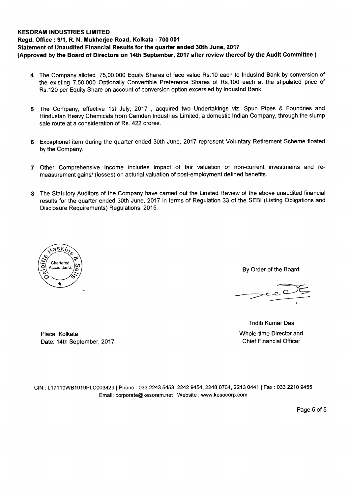# **KESORAM INDUSTRIES LIMITED Regd. Office : 9/1, R. N. Mukherjee Road, Kolkata - 700 001 Statement of Unaudited Financial Results for the quarter ended 30th June, 2017 (Approved by the Board of Directors on 14th September, 2017 after review thereof by the Audit Committee )**

- **4** The Company alloted 75,00,000 Equity Shares of face value Rs.10 each to Induslnd Bank by conversion of the existing 7,50,000 Optionally Convertible Preference Shares of Rs.100 each at the stipulated price of Rs.120 per Equity Share on account of conversion option excersied by Induslnd Bank.
- **5** The Company, effective 1st July, 2017 , acquired two Undertakings viz. Spun Pipes & Foundries and Hindustan Heavy Chemicals from Camden Industries Limited, a domestic Indian Company, through the slump sale route at a consideration of Rs. 422 crores.
- **6** Exceptional item during the quarter ended 30th June, 2017 represent Voluntary Retirement Scheme floated by the Company.
- **7** Other Comprehensive Income includes impact of fair valuation of non-current investments and remeasurement gains/ (losses) on acturial valuation of post-employment defined benefits.
- **8** The Statutory Auditors of the Company have carried out the Limited Review of the above unaudited financial results for the quarter ended 30th June, 2017 in terms of Regulation 33 of the SEBI (Listing Obligations and Disclosure Requirements) Regulations, 2015.



By Order of the Board

Tridib Kumar Das Place: Kolkata Whole-time Director and

Date: 14th September, 2017 **Chief Financial Officer** 

CIN : L17119WB1919PLC003429 I Phone : 033 2243 5453, 2242 9454, 2248 0764, 2213 0441 I Fax : 033 2210 9455 Email: corporate@kesoram.net | Website : www.kesocorp.com

Page 5 of 5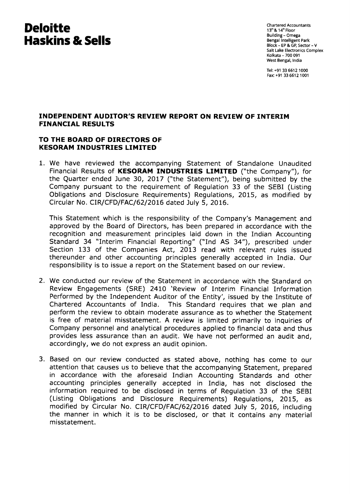# **Deloitte Haskins & Sells**

Chartered Accountants  $13^{\text{th}}$  &  $14^{\text{th}}$  Floor Building - Omega Bengal Intelligent Park Block - EP & GP, Sector - V Salt Lake Electronics Complex Kolkata - 700 091 West Bengal, India

Tel: +91 33 6612 1000 Fax: +91 33 6612 1001

# **INDEPENDENT AUDITOR'S REVIEW REPORT ON REVIEW OF INTERIM FINANCIAL RESULTS**

# **TO THE BOARD OF DIRECTORS OF KESORAM INDUSTRIES LIMITED**

1. We have reviewed the accompanying Statement of Standalone Unaudited Financial Results of **KESORAM INDUSTRIES LIMITED** ("the Company"), for the Quarter ended June 30, 2017 ("the Statement"), being submitted by the Company pursuant to the requirement of Regulation 33 of the SEBI (Listing Obligations and Disclosure Requirements) Regulations, 2015, as modified by Circular No. CIR/CFD/FAC/62/2016 dated July 5, 2016.

This Statement which is the responsibility of the Company's Management and approved by the Board of Directors, has been prepared in accordance with the recognition and measurement principles laid down in the Indian Accounting Standard 34 "Interim Financial Reporting" ("Ind AS 34"), prescribed under Section 133 of the Companies Act, 2013 read with relevant rules issued thereunder and other accounting principles generally accepted in India. Our responsibility is to issue a report on the Statement based on our review.

- 2. We conducted our review of the Statement in accordance with the Standard on Review Engagements (SRE) 2410 'Review of Interim Financial Information Performed by the Independent Auditor of the Entity', issued by the Institute of Chartered Accountants of India. This Standard requires that we plan and This Standard requires that we plan and perform the review to obtain moderate assurance as to whether the Statement is free of material misstatement. A review is limited primarily to inquiries of Company personnel and analytical procedures applied to financial data and thus provides less assurance than an audit. We have not performed an audit and, accordingly, we do not express an audit opinion.
- 3. Based on our review conducted as stated above, nothing has come to our attention that causes us to believe that the accompanying Statement, prepared in accordance with the aforesaid Indian Accounting Standards and other accounting principles generally accepted in India, has not disclosed the information required to be disclosed in terms of Regulation 33 of the SEBI (Listing Obligations and Disclosure Requirements) Regulations, 2015, as modified by Circular No. CIR/CFD/FAC/62/2016 dated July 5, 2016, including the manner in which it is to be disclosed, or that it contains any material misstatement.